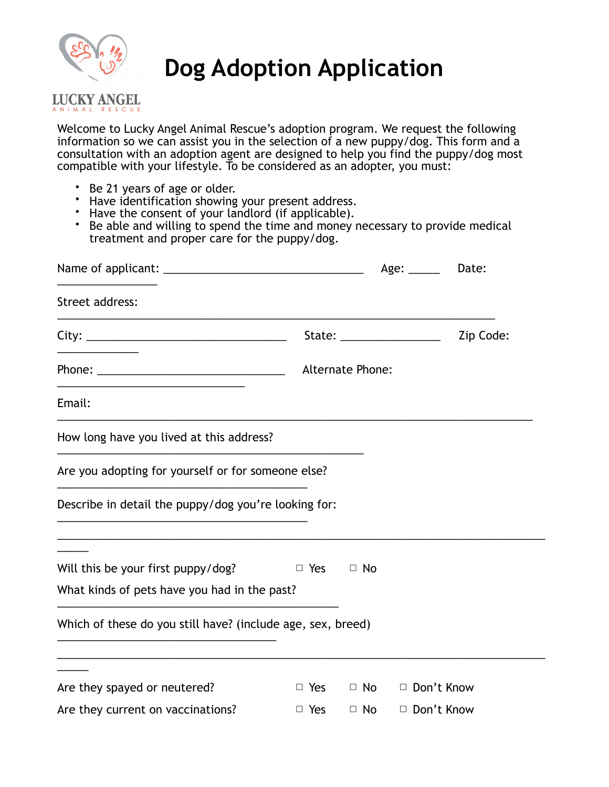

## **Dog Adoption Application**

## **LUCKY ANGEL** ANIMAL RESCUI

Welcome to Lucky Angel Animal Rescue's adoption program. We request the following information so we can assist you in the selection of a new puppy/dog. This form and a consultation with an adoption agent are designed to help you find the puppy/dog most compatible with your lifestyle. To be considered as an adopter, you must:

- Be 21 years of age or older.
- Have identification showing your present address.
- Have the consent of your landlord (if applicable).
- Be able and willing to spend the time and money necessary to provide medical treatment and proper care for the puppy/dog.

|                                                             |            |                  | Age: _____                  | Date:     |
|-------------------------------------------------------------|------------|------------------|-----------------------------|-----------|
| Street address:                                             |            |                  |                             |           |
|                                                             |            |                  | State: ___________________  | Zip Code: |
|                                                             |            | Alternate Phone: |                             |           |
| Email:                                                      |            |                  |                             |           |
| How long have you lived at this address?                    |            |                  |                             |           |
| Are you adopting for yourself or for someone else?          |            |                  |                             |           |
| Describe in detail the puppy/dog you're looking for:        |            |                  |                             |           |
| Will this be your first puppy/dog?                          | $\Box$ Yes | $\Box$ No        |                             |           |
| What kinds of pets have you had in the past?                |            |                  |                             |           |
| Which of these do you still have? (include age, sex, breed) |            |                  |                             |           |
| Are they spayed or neutered?                                | $\Box$ Yes |                  | $\Box$ No $\Box$ Don't Know |           |
| Are they current on vaccinations?                           | $\Box$ Yes | $\Box$ No        | □ Don't Know                |           |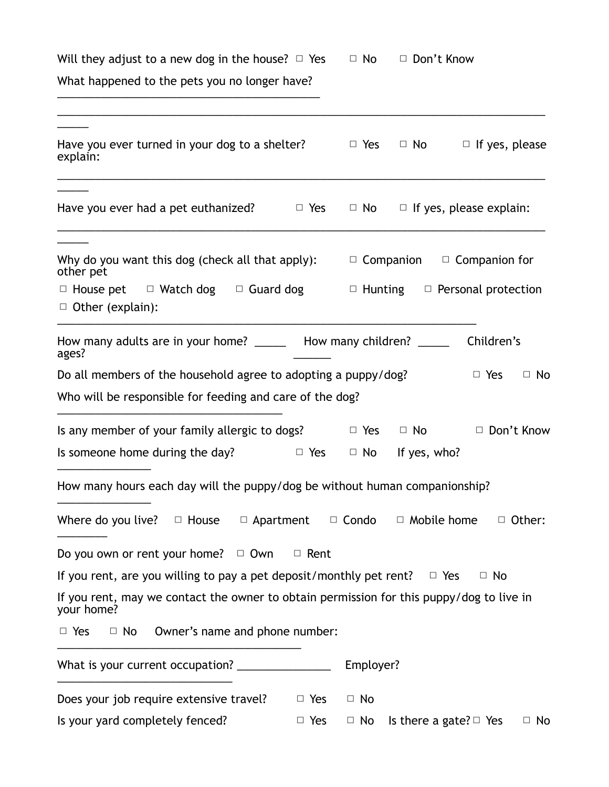Will they adjust to a new dog in the house?  $\Box$  Yes  $\Box$  No  $\Box$  Don't Know

What happened to the pets you no longer have? \_\_\_\_\_\_\_\_\_\_\_\_\_\_\_\_\_\_\_\_\_\_\_\_\_\_\_\_\_\_\_\_\_\_\_\_\_\_\_\_\_\_

| Have you ever turned in your dog to a shelter?<br>explain:                                             |            | $\Box$ Yes |                             | $\Box$ No $\Box$ If yes, please           |               |
|--------------------------------------------------------------------------------------------------------|------------|------------|-----------------------------|-------------------------------------------|---------------|
| Have you ever had a pet euthanized?                                                                    | $\Box$ Yes |            |                             | $\Box$ No $\Box$ If yes, please explain:  |               |
| Why do you want this dog (check all that apply):<br>other pet                                          |            |            |                             | $\Box$ Companion $\Box$ Companion for     |               |
| $\Box$ House pet $\Box$ Watch dog $\Box$ Guard dog<br>$\Box$ Other (explain):                          |            |            |                             | $\Box$ Hunting $\Box$ Personal protection |               |
| How many adults are in your home? _______ How many children? _____<br>ages?                            |            |            |                             | Children's                                |               |
| Do all members of the household agree to adopting a puppy/dog?                                         |            |            |                             | $\Box$ Yes                                | $\Box$ No     |
| Who will be responsible for feeding and care of the dog?                                               |            |            |                             |                                           |               |
| Is any member of your family allergic to dogs?                                                         |            | $\Box$ Yes |                             | $\Box$ No $\Box$ Don't Know               |               |
| Is someone home during the day?                                                                        | $\Box$ Yes |            | $\Box$ No If yes, who?      |                                           |               |
| How many hours each day will the puppy/dog be without human companionship?                             |            |            |                             |                                           |               |
| Where do you live? $\Box$ House $\Box$ Apartment $\Box$ Condo                                          |            |            | $\Box$ Mobile home          |                                           | $\Box$ Other: |
| Do you own or rent your home? $\Box$ Own $\Box$ Rent                                                   |            |            |                             |                                           |               |
| If you rent, are you willing to pay a pet deposit/monthly pet rent?                                    |            |            | $\Box$ Yes                  | $\Box$ No                                 |               |
| If you rent, may we contact the owner to obtain permission for this puppy/dog to live in<br>your home? |            |            |                             |                                           |               |
| Owner's name and phone number:<br>$\Box$ Yes<br>$\Box$ No                                              |            |            |                             |                                           |               |
|                                                                                                        |            | Employer?  |                             |                                           |               |
| Does your job require extensive travel?                                                                | $\Box$ Yes | $\Box$ No  |                             |                                           |               |
| Is your yard completely fenced?                                                                        | $\Box$ Yes | $\Box$ No  | Is there a gate? $\Box$ Yes |                                           | $\Box$ No     |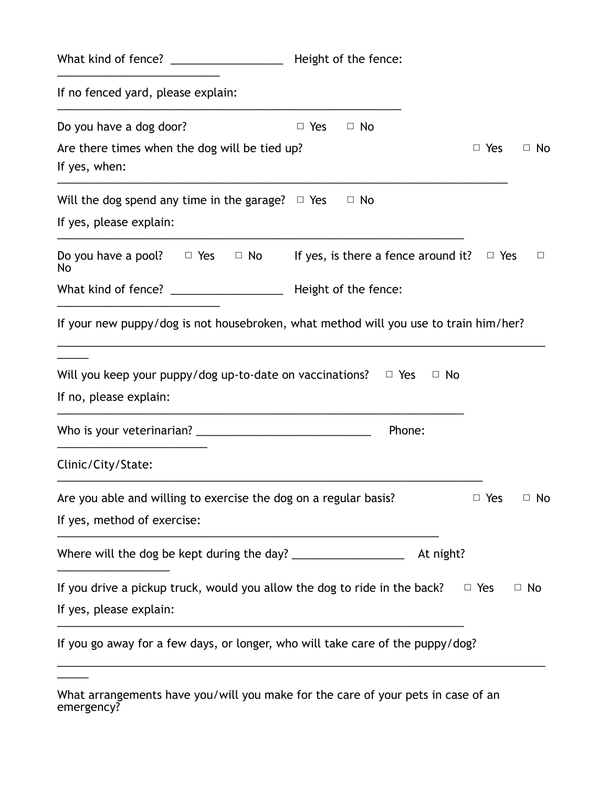| What kind of fence? __________________                                                               | Height of the fence:                           |                         |
|------------------------------------------------------------------------------------------------------|------------------------------------------------|-------------------------|
| If no fenced yard, please explain:                                                                   |                                                |                         |
| Do you have a dog door?                                                                              | $\Box$ No<br>$\Box$ Yes                        |                         |
| Are there times when the dog will be tied up?<br>If yes, when:                                       |                                                | $\Box$ Yes<br>$\Box$ No |
| Will the dog spend any time in the garage? $\Box$ Yes                                                | $\Box$ No                                      |                         |
| If yes, please explain:                                                                              |                                                |                         |
| Do you have a pool? $\Box$ Yes $\Box$ No<br>No                                                       | If yes, is there a fence around it? $\Box$ Yes | $\Box$                  |
|                                                                                                      | Height of the fence:                           |                         |
| Will you keep your puppy/dog up-to-date on vaccinations? $\Box$ Yes<br>If no, please explain:        | □ No                                           |                         |
|                                                                                                      | Phone:                                         |                         |
| Clinic/City/State:                                                                                   |                                                |                         |
| Are you able and willing to exercise the dog on a regular basis?<br>If yes, method of exercise:      |                                                | $\Box$ Yes $\Box$ No    |
|                                                                                                      | At night?                                      |                         |
| If you drive a pickup truck, would you allow the dog to ride in the back?<br>If yes, please explain: |                                                | $\Box$ Yes<br>$\Box$ No |
| If you go away for a few days, or longer, who will take care of the puppy/dog?                       |                                                |                         |

\_\_\_\_\_

What arrangements have you/will you make for the care of your pets in case of an emergency?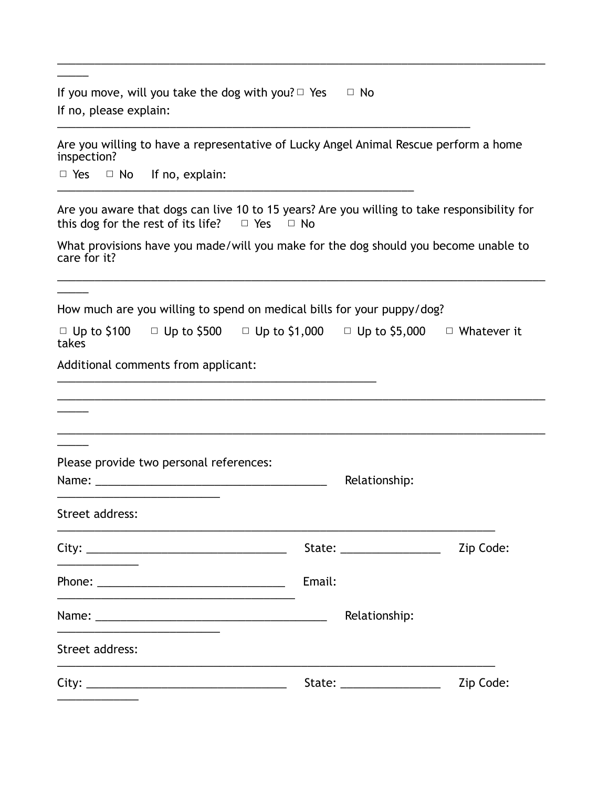If you move, will you take the dog with you?  $\Box$  Yes  $\Box$  No If no, please explain: \_\_\_\_\_\_\_\_\_\_\_\_\_\_\_\_\_\_\_\_\_\_\_\_\_\_\_\_\_\_\_\_\_\_\_\_\_\_\_\_\_\_\_\_\_\_\_\_\_\_\_\_\_\_\_\_\_\_\_\_\_\_\_\_\_\_

Are you willing to have a representative of Lucky Angel Animal Rescue perform a home inspection?

\_\_\_\_\_\_\_\_\_\_\_\_\_\_\_\_\_\_\_\_\_\_\_\_\_\_\_\_\_\_\_\_\_\_\_\_\_\_\_\_\_\_\_\_\_\_\_\_\_\_\_\_\_\_\_\_\_\_\_\_\_\_\_\_\_\_\_\_\_\_\_\_\_\_\_\_\_\_

□ Yes □ No If no, explain: \_\_\_\_\_\_\_\_\_\_\_\_\_\_\_\_\_\_\_\_\_\_\_\_\_\_\_\_\_\_\_\_\_\_\_\_\_\_\_\_\_\_\_\_\_\_\_\_\_\_\_\_\_\_\_\_\_

\_\_\_\_\_

 $\overline{\phantom{a}}$ 

Are you aware that dogs can live 10 to 15 years? Are you willing to take responsibility for this dog for the rest of its life?  $\Box$  Yes  $\Box$  No

What provisions have you made/will you make for the dog should you become unable to care for it?

\_\_\_\_\_\_\_\_\_\_\_\_\_\_\_\_\_\_\_\_\_\_\_\_\_\_\_\_\_\_\_\_\_\_\_\_\_\_\_\_\_\_\_\_\_\_\_\_\_\_\_\_\_\_\_\_\_\_\_\_\_\_\_\_\_\_\_\_\_\_\_\_\_\_\_\_\_\_

How much are you willing to spend on medical bills for your puppy/dog?

\_\_\_\_\_\_\_\_\_\_\_\_\_\_\_\_\_\_\_\_\_\_\_\_\_\_\_\_\_\_\_\_\_\_\_\_\_\_\_\_\_\_\_\_\_\_\_\_\_\_\_

|       | □ Up to \$100 □ Up to \$500 □ Up to \$1,000 □ Up to \$5,000 | $\Box$ Whatever it |
|-------|-------------------------------------------------------------|--------------------|
| takes |                                                             |                    |

Additional comments from applicant:

| Relationship: |                                                                                                                                                                                                                                                             |
|---------------|-------------------------------------------------------------------------------------------------------------------------------------------------------------------------------------------------------------------------------------------------------------|
|               |                                                                                                                                                                                                                                                             |
|               | Zip Code:                                                                                                                                                                                                                                                   |
| Email:        |                                                                                                                                                                                                                                                             |
| Relationship: |                                                                                                                                                                                                                                                             |
|               |                                                                                                                                                                                                                                                             |
|               | Zip Code:                                                                                                                                                                                                                                                   |
|               | State: __________________<br>State: the contract of the contract of the contract of the contract of the contract of the contract of the contract of the contract of the contract of the contract of the contract of the contract of the contract of the con |